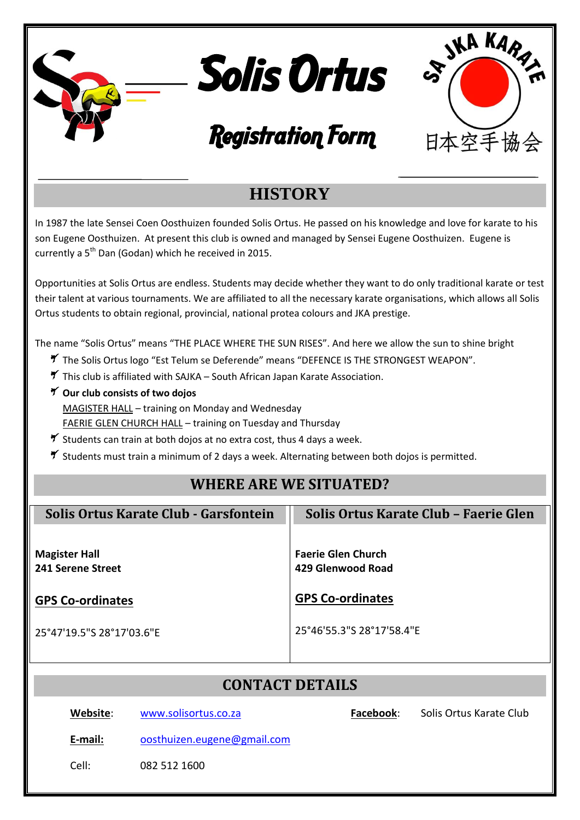|                                                                                                                                                                                                                                                                                                                                                                                                                                                                                                                                                                                                                                                   | <b>KAR</b><br><b>Solis Ortus</b><br><b>R</b>         |  |  |  |  |  |  |  |
|---------------------------------------------------------------------------------------------------------------------------------------------------------------------------------------------------------------------------------------------------------------------------------------------------------------------------------------------------------------------------------------------------------------------------------------------------------------------------------------------------------------------------------------------------------------------------------------------------------------------------------------------------|------------------------------------------------------|--|--|--|--|--|--|--|
|                                                                                                                                                                                                                                                                                                                                                                                                                                                                                                                                                                                                                                                   | <b>Registration Form</b><br>日本空手協会                   |  |  |  |  |  |  |  |
| <b>HISTORY</b>                                                                                                                                                                                                                                                                                                                                                                                                                                                                                                                                                                                                                                    |                                                      |  |  |  |  |  |  |  |
| In 1987 the late Sensei Coen Oosthuizen founded Solis Ortus. He passed on his knowledge and love for karate to his<br>son Eugene Oosthuizen. At present this club is owned and managed by Sensei Eugene Oosthuizen. Eugene is<br>currently a 5 <sup>th</sup> Dan (Godan) which he received in 2015.                                                                                                                                                                                                                                                                                                                                               |                                                      |  |  |  |  |  |  |  |
| Opportunities at Solis Ortus are endless. Students may decide whether they want to do only traditional karate or test<br>their talent at various tournaments. We are affiliated to all the necessary karate organisations, which allows all Solis<br>Ortus students to obtain regional, provincial, national protea colours and JKA prestige.                                                                                                                                                                                                                                                                                                     |                                                      |  |  |  |  |  |  |  |
| The name "Solis Ortus" means "THE PLACE WHERE THE SUN RISES". And here we allow the sun to shine bright<br>7 The Solis Ortus logo "Est Telum se Deferende" means "DEFENCE IS THE STRONGEST WEAPON".<br>This club is affiliated with SAJKA - South African Japan Karate Association.<br>7 Our club consists of two dojos<br>MAGISTER HALL - training on Monday and Wednesday<br><b>FAERIE GLEN CHURCH HALL</b> - training on Tuesday and Thursday<br>$\tilde{\mathbf{y}}$ Students can train at both dojos at no extra cost, thus 4 days a week.<br>5 Students must train a minimum of 2 days a week. Alternating between both dojos is permitted. |                                                      |  |  |  |  |  |  |  |
|                                                                                                                                                                                                                                                                                                                                                                                                                                                                                                                                                                                                                                                   | <b>WHERE ARE WE SITUATED?</b>                        |  |  |  |  |  |  |  |
| Solis Ortus Karate Club - Garsfontein                                                                                                                                                                                                                                                                                                                                                                                                                                                                                                                                                                                                             | Solis Ortus Karate Club - Faerie Glen                |  |  |  |  |  |  |  |
| <b>Magister Hall</b><br>241 Serene Street                                                                                                                                                                                                                                                                                                                                                                                                                                                                                                                                                                                                         | <b>Faerie Glen Church</b><br>429 Glenwood Road       |  |  |  |  |  |  |  |
| <b>GPS Co-ordinates</b><br>25°47'19.5"S 28°17'03.6"E                                                                                                                                                                                                                                                                                                                                                                                                                                                                                                                                                                                              | <b>GPS Co-ordinates</b><br>25°46'55.3"S 28°17'58.4"E |  |  |  |  |  |  |  |
| <b>CONTACT DETAILS</b>                                                                                                                                                                                                                                                                                                                                                                                                                                                                                                                                                                                                                            |                                                      |  |  |  |  |  |  |  |
| Website:<br>www.solisortus.co.za                                                                                                                                                                                                                                                                                                                                                                                                                                                                                                                                                                                                                  | Facebook:<br>Solis Ortus Karate Club                 |  |  |  |  |  |  |  |
| oosthuizen.eugene@gmail.com<br>E-mail:                                                                                                                                                                                                                                                                                                                                                                                                                                                                                                                                                                                                            |                                                      |  |  |  |  |  |  |  |
| Cell:<br>082 512 1600                                                                                                                                                                                                                                                                                                                                                                                                                                                                                                                                                                                                                             |                                                      |  |  |  |  |  |  |  |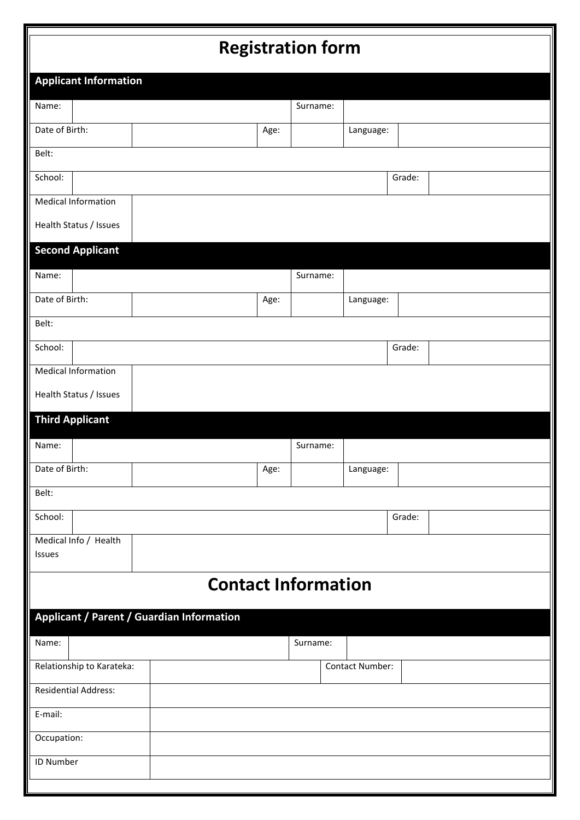# **Registration form**

| <b>Registration form</b> |                              |                                           |      |                            |                 |        |  |
|--------------------------|------------------------------|-------------------------------------------|------|----------------------------|-----------------|--------|--|
|                          | <b>Applicant Information</b> |                                           |      |                            |                 |        |  |
| Name:                    |                              |                                           |      | Surname:                   |                 |        |  |
| Date of Birth:           |                              |                                           | Age: |                            | Language:       |        |  |
| Belt:                    |                              |                                           |      |                            |                 |        |  |
| School:                  |                              |                                           |      |                            |                 | Grade: |  |
|                          | <b>Medical Information</b>   |                                           |      |                            |                 |        |  |
|                          | Health Status / Issues       |                                           |      |                            |                 |        |  |
|                          | <b>Second Applicant</b>      |                                           |      |                            |                 |        |  |
| Name:                    |                              |                                           |      | Surname:                   |                 |        |  |
| Date of Birth:           |                              |                                           | Age: |                            | Language:       |        |  |
| Belt:                    |                              |                                           |      |                            |                 |        |  |
| School:                  |                              |                                           |      |                            |                 | Grade: |  |
|                          | <b>Medical Information</b>   |                                           |      |                            |                 |        |  |
|                          | Health Status / Issues       |                                           |      |                            |                 |        |  |
|                          | <b>Third Applicant</b>       |                                           |      |                            |                 |        |  |
| Name:                    |                              |                                           |      | Surname:                   |                 |        |  |
| Date of Birth:           |                              |                                           | Age: |                            | Language:       |        |  |
| Belt:                    |                              |                                           |      |                            |                 |        |  |
| School:                  |                              |                                           |      |                            |                 | Grade: |  |
| Issues                   | Medical Info / Health        |                                           |      |                            |                 |        |  |
|                          |                              |                                           |      |                            |                 |        |  |
|                          |                              |                                           |      | <b>Contact Information</b> |                 |        |  |
|                          |                              | Applicant / Parent / Guardian Information |      |                            |                 |        |  |
| Name:                    |                              |                                           |      | Surname:                   |                 |        |  |
|                          | Relationship to Karateka:    |                                           |      |                            | Contact Number: |        |  |
|                          | <b>Residential Address:</b>  |                                           |      |                            |                 |        |  |
| E-mail:                  |                              |                                           |      |                            |                 |        |  |
| Occupation:              |                              |                                           |      |                            |                 |        |  |
| <b>ID Number</b>         |                              |                                           |      |                            |                 |        |  |
|                          |                              |                                           |      |                            |                 |        |  |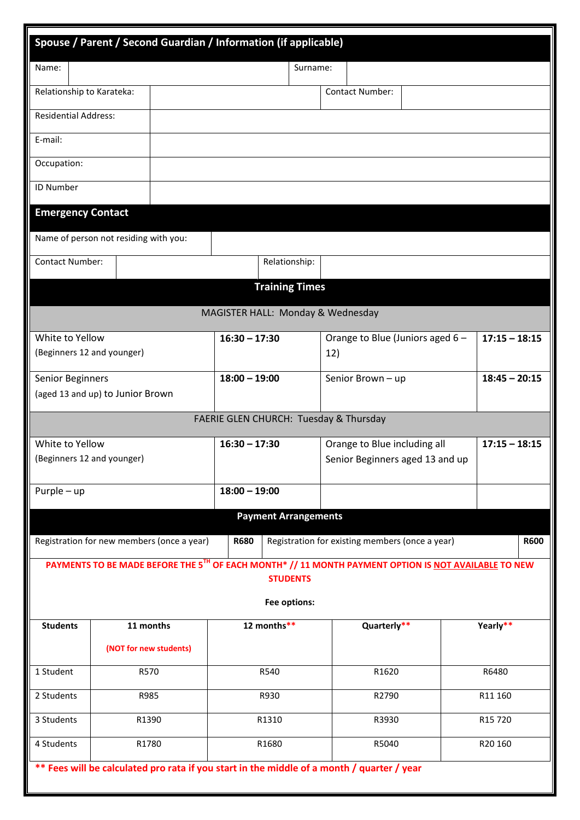| Spouse / Parent / Second Guardian / Information (if applicable) |                                                  |  |                 |                                                                                            |                                                            |                                                 |                                                                                                      |                 |             |
|-----------------------------------------------------------------|--------------------------------------------------|--|-----------------|--------------------------------------------------------------------------------------------|------------------------------------------------------------|-------------------------------------------------|------------------------------------------------------------------------------------------------------|-----------------|-------------|
| Name:                                                           |                                                  |  |                 | Surname:                                                                                   |                                                            |                                                 |                                                                                                      |                 |             |
| Relationship to Karateka:                                       |                                                  |  |                 |                                                                                            |                                                            | <b>Contact Number:</b>                          |                                                                                                      |                 |             |
| <b>Residential Address:</b>                                     |                                                  |  |                 |                                                                                            |                                                            |                                                 |                                                                                                      |                 |             |
| E-mail:                                                         |                                                  |  |                 |                                                                                            |                                                            |                                                 |                                                                                                      |                 |             |
| Occupation:                                                     |                                                  |  |                 |                                                                                            |                                                            |                                                 |                                                                                                      |                 |             |
| <b>ID Number</b>                                                |                                                  |  |                 |                                                                                            |                                                            |                                                 |                                                                                                      |                 |             |
| <b>Emergency Contact</b>                                        |                                                  |  |                 |                                                                                            |                                                            |                                                 |                                                                                                      |                 |             |
| Name of person not residing with you:                           |                                                  |  |                 |                                                                                            |                                                            |                                                 |                                                                                                      |                 |             |
| Contact Number:                                                 |                                                  |  |                 | Relationship:                                                                              |                                                            |                                                 |                                                                                                      |                 |             |
|                                                                 |                                                  |  |                 | <b>Training Times</b>                                                                      |                                                            |                                                 |                                                                                                      |                 |             |
|                                                                 |                                                  |  |                 | MAGISTER HALL: Monday & Wednesday                                                          |                                                            |                                                 |                                                                                                      |                 |             |
| White to Yellow                                                 |                                                  |  | $16:30 - 17:30$ |                                                                                            |                                                            |                                                 |                                                                                                      |                 |             |
| (Beginners 12 and younger)                                      |                                                  |  |                 |                                                                                            | $17:15 - 18:15$<br>Orange to Blue (Juniors aged 6 -<br>12) |                                                 |                                                                                                      |                 |             |
| Senior Beginners                                                |                                                  |  | $18:00 - 19:00$ |                                                                                            | $18:45 - 20:15$<br>Senior Brown - up                       |                                                 |                                                                                                      |                 |             |
| (aged 13 and up) to Junior Brown                                |                                                  |  |                 |                                                                                            |                                                            |                                                 |                                                                                                      |                 |             |
|                                                                 |                                                  |  |                 | FAERIE GLEN CHURCH: Tuesday & Thursday                                                     |                                                            |                                                 |                                                                                                      |                 |             |
| White to Yellow                                                 |                                                  |  | $16:30 - 17:30$ |                                                                                            |                                                            | Orange to Blue including all                    |                                                                                                      | $17:15 - 18:15$ |             |
| (Beginners 12 and younger)                                      |                                                  |  |                 |                                                                                            |                                                            |                                                 | Senior Beginners aged 13 and up                                                                      |                 |             |
| $Purple-up$                                                     |                                                  |  | $18:00 - 19:00$ |                                                                                            |                                                            |                                                 |                                                                                                      |                 |             |
|                                                                 |                                                  |  |                 | <b>Payment Arrangements</b>                                                                |                                                            |                                                 |                                                                                                      |                 |             |
| Registration for new members (once a year)                      |                                                  |  | <b>R680</b>     |                                                                                            |                                                            | Registration for existing members (once a year) |                                                                                                      |                 | <b>R600</b> |
|                                                                 |                                                  |  |                 |                                                                                            |                                                            |                                                 | PAYMENTS TO BE MADE BEFORE THE 5TH OF EACH MONTH* // 11 MONTH PAYMENT OPTION IS NOT AVAILABLE TO NEW |                 |             |
|                                                                 |                                                  |  |                 | <b>STUDENTS</b>                                                                            |                                                            |                                                 |                                                                                                      |                 |             |
|                                                                 |                                                  |  |                 | Fee options:<br>12 months**                                                                |                                                            |                                                 |                                                                                                      |                 |             |
| <b>Students</b>                                                 | 11 months                                        |  |                 |                                                                                            |                                                            | Quarterly**                                     |                                                                                                      | Yearly**        |             |
|                                                                 | (NOT for new students)                           |  |                 |                                                                                            |                                                            |                                                 |                                                                                                      |                 |             |
| 1 Student                                                       | R570                                             |  | R540            |                                                                                            |                                                            | R1620                                           |                                                                                                      | R6480           |             |
| 2 Students                                                      | R985                                             |  | R930            |                                                                                            |                                                            | R2790                                           |                                                                                                      | R11 160         |             |
| 3 Students                                                      | R1390                                            |  | R1310           |                                                                                            |                                                            | R3930                                           |                                                                                                      | R15 720         |             |
|                                                                 | 4 Students<br>R1780<br>R1680<br>R5040<br>R20 160 |  |                 |                                                                                            |                                                            |                                                 |                                                                                                      |                 |             |
|                                                                 |                                                  |  |                 | ** Fees will be calculated pro rata if you start in the middle of a month / quarter / year |                                                            |                                                 |                                                                                                      |                 |             |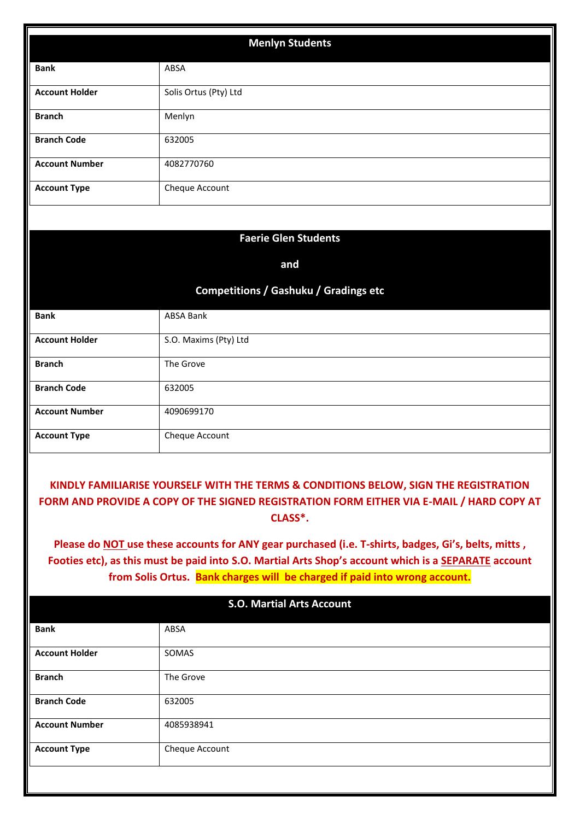| <b>Menlyn Students</b>                                                                                                                                                                                                                                                                                                                                                                                                                                                                                |                                              |  |  |  |  |  |
|-------------------------------------------------------------------------------------------------------------------------------------------------------------------------------------------------------------------------------------------------------------------------------------------------------------------------------------------------------------------------------------------------------------------------------------------------------------------------------------------------------|----------------------------------------------|--|--|--|--|--|
| <b>Bank</b>                                                                                                                                                                                                                                                                                                                                                                                                                                                                                           | ABSA                                         |  |  |  |  |  |
| <b>Account Holder</b>                                                                                                                                                                                                                                                                                                                                                                                                                                                                                 | Solis Ortus (Pty) Ltd                        |  |  |  |  |  |
| <b>Branch</b>                                                                                                                                                                                                                                                                                                                                                                                                                                                                                         | Menlyn                                       |  |  |  |  |  |
| <b>Branch Code</b>                                                                                                                                                                                                                                                                                                                                                                                                                                                                                    | 632005                                       |  |  |  |  |  |
| <b>Account Number</b>                                                                                                                                                                                                                                                                                                                                                                                                                                                                                 | 4082770760                                   |  |  |  |  |  |
| <b>Account Type</b>                                                                                                                                                                                                                                                                                                                                                                                                                                                                                   | Cheque Account                               |  |  |  |  |  |
|                                                                                                                                                                                                                                                                                                                                                                                                                                                                                                       |                                              |  |  |  |  |  |
|                                                                                                                                                                                                                                                                                                                                                                                                                                                                                                       | <b>Faerie Glen Students</b>                  |  |  |  |  |  |
|                                                                                                                                                                                                                                                                                                                                                                                                                                                                                                       | and                                          |  |  |  |  |  |
|                                                                                                                                                                                                                                                                                                                                                                                                                                                                                                       | <b>Competitions / Gashuku / Gradings etc</b> |  |  |  |  |  |
|                                                                                                                                                                                                                                                                                                                                                                                                                                                                                                       |                                              |  |  |  |  |  |
| <b>Bank</b>                                                                                                                                                                                                                                                                                                                                                                                                                                                                                           | <b>ABSA Bank</b>                             |  |  |  |  |  |
| <b>Account Holder</b>                                                                                                                                                                                                                                                                                                                                                                                                                                                                                 | S.O. Maxims (Pty) Ltd                        |  |  |  |  |  |
| <b>Branch</b>                                                                                                                                                                                                                                                                                                                                                                                                                                                                                         | The Grove                                    |  |  |  |  |  |
| <b>Branch Code</b>                                                                                                                                                                                                                                                                                                                                                                                                                                                                                    | 632005                                       |  |  |  |  |  |
| <b>Account Number</b>                                                                                                                                                                                                                                                                                                                                                                                                                                                                                 | 4090699170                                   |  |  |  |  |  |
| <b>Account Type</b>                                                                                                                                                                                                                                                                                                                                                                                                                                                                                   | Cheque Account                               |  |  |  |  |  |
| KINDLY FAMILIARISE YOURSELF WITH THE TERMS & CONDITIONS BELOW, SIGN THE REGISTRATION<br>FORM AND PROVIDE A COPY OF THE SIGNED REGISTRATION FORM EITHER VIA E-MAIL / HARD COPY AT<br>CLASS <sup>*</sup> .<br>Please do NOT use these accounts for ANY gear purchased (i.e. T-shirts, badges, Gi's, belts, mitts,<br>Footies etc), as this must be paid into S.O. Martial Arts Shop's account which is a SEPARATE account<br>from Solis Ortus. Bank charges will be charged if paid into wrong account. |                                              |  |  |  |  |  |
| <b>S.O. Martial Arts Account</b>                                                                                                                                                                                                                                                                                                                                                                                                                                                                      |                                              |  |  |  |  |  |
| <b>Bank</b>                                                                                                                                                                                                                                                                                                                                                                                                                                                                                           | ABSA                                         |  |  |  |  |  |
| <b>Account Holder</b>                                                                                                                                                                                                                                                                                                                                                                                                                                                                                 | SOMAS                                        |  |  |  |  |  |
| <b>Branch</b>                                                                                                                                                                                                                                                                                                                                                                                                                                                                                         | The Grove                                    |  |  |  |  |  |
| <b>Branch Code</b>                                                                                                                                                                                                                                                                                                                                                                                                                                                                                    | 632005                                       |  |  |  |  |  |
| <b>Account Number</b>                                                                                                                                                                                                                                                                                                                                                                                                                                                                                 | 4085938941                                   |  |  |  |  |  |
| <b>Account Type</b>                                                                                                                                                                                                                                                                                                                                                                                                                                                                                   | Cheque Account                               |  |  |  |  |  |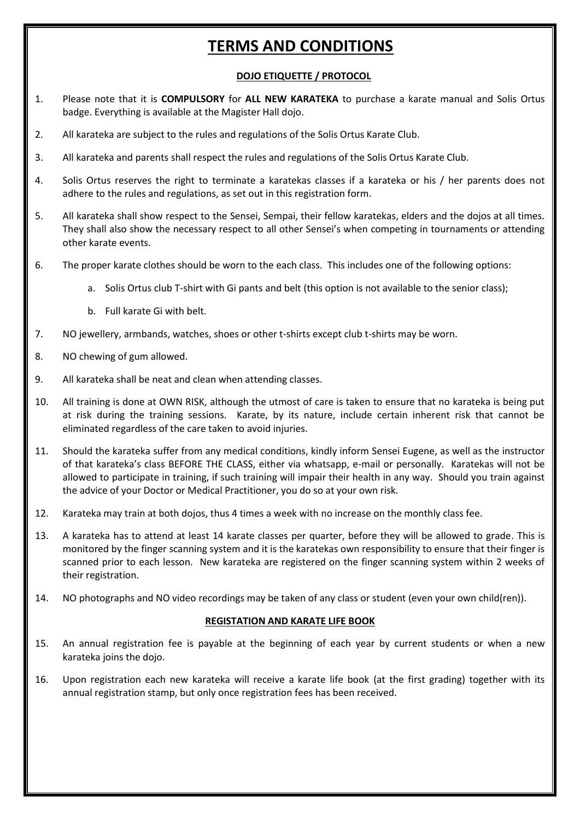# **TERMS AND CONDITIONS**

# **DOJO ETIQUETTE / PROTOCOL**

- 1. Please note that it is **COMPULSORY** for **ALL NEW KARATEKA** to purchase a karate manual and Solis Ortus badge. Everything is available at the Magister Hall dojo.
- 2. All karateka are subject to the rules and regulations of the Solis Ortus Karate Club.
- 3. All karateka and parents shall respect the rules and regulations of the Solis Ortus Karate Club.
- 4. Solis Ortus reserves the right to terminate a karatekas classes if a karateka or his / her parents does not adhere to the rules and regulations, as set out in this registration form.
- 5. All karateka shall show respect to the Sensei, Sempai, their fellow karatekas, elders and the dojos at all times. They shall also show the necessary respect to all other Sensei's when competing in tournaments or attending other karate events.
- 6. The proper karate clothes should be worn to the each class. This includes one of the following options:
	- a. Solis Ortus club T-shirt with Gi pants and belt (this option is not available to the senior class);
	- b. Full karate Gi with belt.
- 7. NO jewellery, armbands, watches, shoes or other t-shirts except club t-shirts may be worn.
- 8. NO chewing of gum allowed.
- 9. All karateka shall be neat and clean when attending classes.
- 10. All training is done at OWN RISK, although the utmost of care is taken to ensure that no karateka is being put at risk during the training sessions. Karate, by its nature, include certain inherent risk that cannot be eliminated regardless of the care taken to avoid injuries.
- 11. Should the karateka suffer from any medical conditions, kindly inform Sensei Eugene, as well as the instructor of that karateka's class BEFORE THE CLASS, either via whatsapp, e-mail or personally. Karatekas will not be allowed to participate in training, if such training will impair their health in any way. Should you train against the advice of your Doctor or Medical Practitioner, you do so at your own risk.
- 12. Karateka may train at both dojos, thus 4 times a week with no increase on the monthly class fee.
- 13. A karateka has to attend at least 14 karate classes per quarter, before they will be allowed to grade. This is monitored by the finger scanning system and it is the karatekas own responsibility to ensure that their finger is scanned prior to each lesson. New karateka are registered on the finger scanning system within 2 weeks of their registration.
- 14. NO photographs and NO video recordings may be taken of any class or student (even your own child(ren)).

### **REGISTATION AND KARATE LIFE BOOK**

- 15. An annual registration fee is payable at the beginning of each year by current students or when a new karateka joins the dojo.
- 16. Upon registration each new karateka will receive a karate life book (at the first grading) together with its annual registration stamp, but only once registration fees has been received.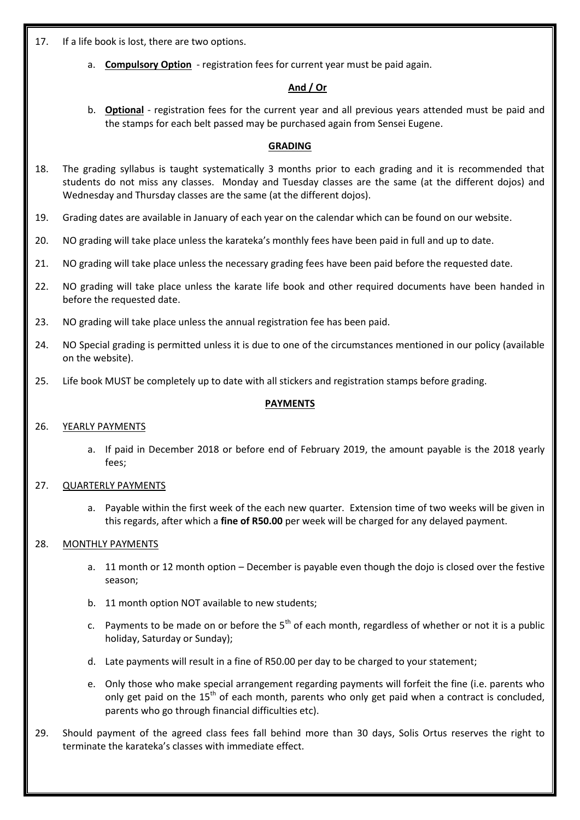17. If a life book is lost, there are two options.

a. **Compulsory Option** - registration fees for current year must be paid again.

## **And / Or**

b. **Optional** - registration fees for the current year and all previous years attended must be paid and the stamps for each belt passed may be purchased again from Sensei Eugene.

# **GRADING**

- 18. The grading syllabus is taught systematically 3 months prior to each grading and it is recommended that students do not miss any classes. Monday and Tuesday classes are the same (at the different dojos) and Wednesday and Thursday classes are the same (at the different dojos).
- 19. Grading dates are available in January of each year on the calendar which can be found on our website.
- 20. NO grading will take place unless the karateka's monthly fees have been paid in full and up to date.
- 21. NO grading will take place unless the necessary grading fees have been paid before the requested date.
- 22. NO grading will take place unless the karate life book and other required documents have been handed in before the requested date.
- 23. NO grading will take place unless the annual registration fee has been paid.
- 24. NO Special grading is permitted unless it is due to one of the circumstances mentioned in our policy (available on the website).
- 25. Life book MUST be completely up to date with all stickers and registration stamps before grading.

# **PAYMENTS**

### 26. YEARLY PAYMENTS

a. If paid in December 2018 or before end of February 2019, the amount payable is the 2018 yearly fees;

### 27. QUARTERLY PAYMENTS

a. Payable within the first week of the each new quarter. Extension time of two weeks will be given in this regards, after which a **fine of R50.00** per week will be charged for any delayed payment.

### 28. MONTHLY PAYMENTS

- a. 11 month or 12 month option December is payable even though the dojo is closed over the festive season;
- b. 11 month option NOT available to new students;
- c. Payments to be made on or before the  $5<sup>th</sup>$  of each month, regardless of whether or not it is a public holiday, Saturday or Sunday);
- d. Late payments will result in a fine of R50.00 per day to be charged to your statement;
- e. Only those who make special arrangement regarding payments will forfeit the fine (i.e. parents who only get paid on the  $15<sup>th</sup>$  of each month, parents who only get paid when a contract is concluded, parents who go through financial difficulties etc).
- 29. Should payment of the agreed class fees fall behind more than 30 days, Solis Ortus reserves the right to terminate the karateka's classes with immediate effect.